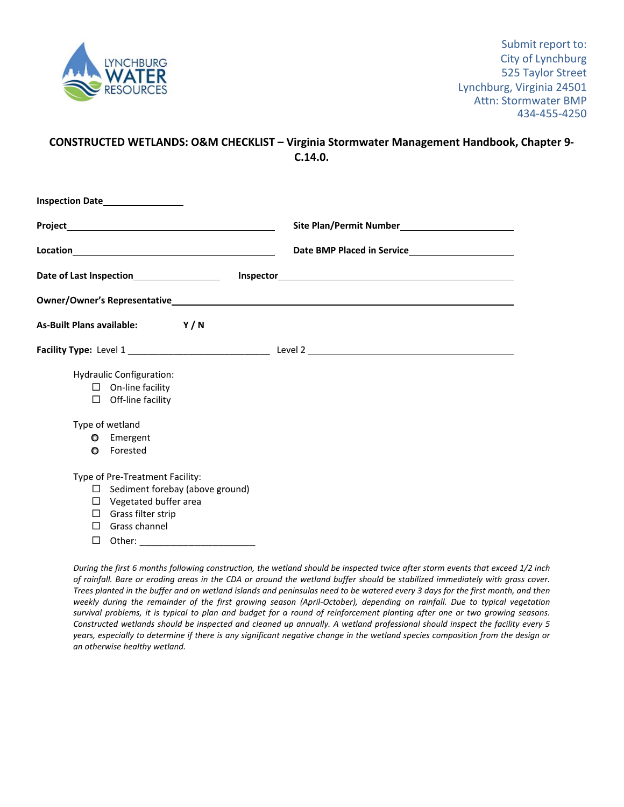

## **CONSTRUCTED WETLANDS: O&M CHECKLIST – Virginia Stormwater Management Handbook, Chapter 9‐ C.14.0.**

| Inspection Date <b>No. 1998</b>                                                                                                                                                                            |                                                          |  |  |  |  |
|------------------------------------------------------------------------------------------------------------------------------------------------------------------------------------------------------------|----------------------------------------------------------|--|--|--|--|
|                                                                                                                                                                                                            | Site Plan/Permit Number<br><u>Letter and the product</u> |  |  |  |  |
| Location <b>Example 2018</b>                                                                                                                                                                               | Date BMP Placed in Service________________________       |  |  |  |  |
|                                                                                                                                                                                                            |                                                          |  |  |  |  |
|                                                                                                                                                                                                            |                                                          |  |  |  |  |
| As-Built Plans available: Y/N                                                                                                                                                                              |                                                          |  |  |  |  |
|                                                                                                                                                                                                            |                                                          |  |  |  |  |
| Hydraulic Configuration:<br>$\Box$ On-line facility<br>$\Box$ Off-line facility<br>Type of wetland<br><b>O</b> Emergent<br>Forested<br>O                                                                   |                                                          |  |  |  |  |
| Type of Pre-Treatment Facility:<br>$\Box$ Sediment forebay (above ground)<br>$\Box$ Vegetated buffer area<br>$\Box$ Grass filter strip<br>$\Box$ Grass channel<br>□<br>Other: ____________________________ |                                                          |  |  |  |  |

During the first 6 months following construction, the wetland should be inspected twice after storm events that exceed 1/2 inch of rainfall. Bare or eroding areas in the CDA or around the wetland buffer should be stabilized immediately with grass cover. Trees planted in the buffer and on wetland islands and peninsulas need to be watered every 3 days for the first month, and then weekly during the remainder of the first growing season (April-October), depending on rainfall. Due to typical vegetation survival problems, it is typical to plan and budget for a round of reinforcement planting after one or two growing seasons. Constructed wetlands should be inspected and cleaned up annually. A wetland professional should inspect the facility every 5 years, especially to determine if there is any significant negative change in the wetland species composition from the design or *an otherwise healthy wetland.*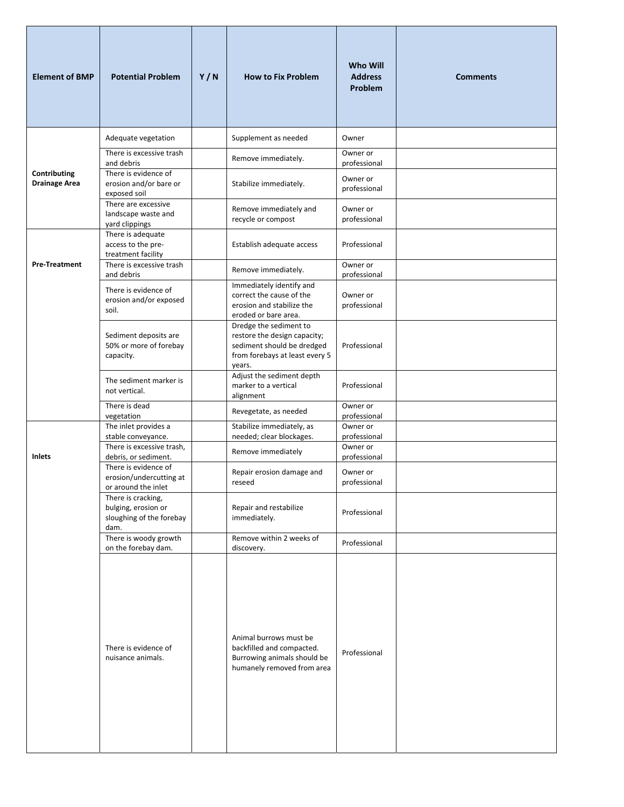| <b>Element of BMP</b>                | <b>Potential Problem</b>                                                      | Y/N | <b>How to Fix Problem</b>                                                                                                        | <b>Who Will</b><br><b>Address</b><br><b>Problem</b> | <b>Comments</b> |
|--------------------------------------|-------------------------------------------------------------------------------|-----|----------------------------------------------------------------------------------------------------------------------------------|-----------------------------------------------------|-----------------|
|                                      | Adequate vegetation                                                           |     | Supplement as needed                                                                                                             | Owner                                               |                 |
|                                      | There is excessive trash<br>and debris                                        |     | Remove immediately.                                                                                                              | Owner or                                            |                 |
| Contributing<br><b>Drainage Area</b> | There is evidence of<br>erosion and/or bare or<br>exposed soil                |     | Stabilize immediately.                                                                                                           | professional<br>Owner or<br>professional            |                 |
|                                      | There are excessive<br>landscape waste and<br>yard clippings                  |     | Remove immediately and<br>recycle or compost                                                                                     | Owner or<br>professional                            |                 |
|                                      | There is adequate<br>access to the pre-<br>treatment facility                 |     | Establish adequate access                                                                                                        | Professional                                        |                 |
| <b>Pre-Treatment</b>                 | There is excessive trash<br>and debris                                        |     | Remove immediately.                                                                                                              | Owner or<br>professional                            |                 |
|                                      | There is evidence of<br>erosion and/or exposed<br>soil.                       |     | Immediately identify and<br>correct the cause of the<br>erosion and stabilize the<br>eroded or bare area.                        | Owner or<br>professional                            |                 |
|                                      | Sediment deposits are<br>50% or more of forebay<br>capacity.                  |     | Dredge the sediment to<br>restore the design capacity;<br>sediment should be dredged<br>from forebays at least every 5<br>years. | Professional                                        |                 |
|                                      | The sediment marker is<br>not vertical.                                       |     | Adjust the sediment depth<br>marker to a vertical<br>alignment                                                                   | Professional                                        |                 |
|                                      | There is dead<br>vegetation                                                   |     | Revegetate, as needed                                                                                                            | Owner or<br>professional                            |                 |
|                                      | The inlet provides a<br>stable conveyance.                                    |     | Stabilize immediately, as<br>needed; clear blockages.                                                                            | Owner or<br>professional                            |                 |
| Inlets                               | There is excessive trash,<br>debris, or sediment.                             |     | Remove immediately                                                                                                               | Owner or<br>professional                            |                 |
|                                      | There is evidence of<br>erosion/undercutting at<br>or around the inlet        |     | Repair erosion damage and<br>reseed                                                                                              | Owner or<br>professional                            |                 |
|                                      | There is cracking,<br>bulging, erosion or<br>sloughing of the forebay<br>dam. |     | Repair and restabilize<br>immediately.                                                                                           | Professional                                        |                 |
|                                      | There is woody growth<br>on the forebay dam.                                  |     | Remove within 2 weeks of<br>discovery.                                                                                           | Professional                                        |                 |
|                                      | There is evidence of<br>nuisance animals.                                     |     | Animal burrows must be<br>backfilled and compacted.<br>Burrowing animals should be<br>humanely removed from area                 | Professional                                        |                 |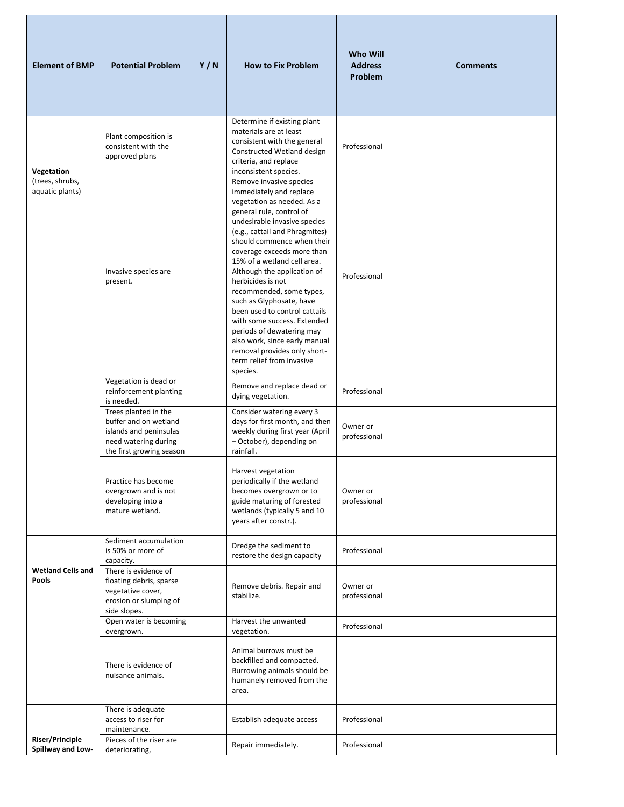| <b>Element of BMP</b>                       | <b>Potential Problem</b>                                                                                                    | Y/N | <b>How to Fix Problem</b>                                                                                                                                                                                                                                                                                                                                                                                                                                                                                                                                                                    | <b>Who Will</b><br><b>Address</b><br>Problem | <b>Comments</b> |
|---------------------------------------------|-----------------------------------------------------------------------------------------------------------------------------|-----|----------------------------------------------------------------------------------------------------------------------------------------------------------------------------------------------------------------------------------------------------------------------------------------------------------------------------------------------------------------------------------------------------------------------------------------------------------------------------------------------------------------------------------------------------------------------------------------------|----------------------------------------------|-----------------|
| Vegetation                                  | Plant composition is<br>consistent with the<br>approved plans                                                               |     | Determine if existing plant<br>materials are at least<br>consistent with the general<br>Constructed Wetland design<br>criteria, and replace<br>inconsistent species.                                                                                                                                                                                                                                                                                                                                                                                                                         | Professional                                 |                 |
| (trees, shrubs,<br>aquatic plants)          | Invasive species are<br>present.                                                                                            |     | Remove invasive species<br>immediately and replace<br>vegetation as needed. As a<br>general rule, control of<br>undesirable invasive species<br>(e.g., cattail and Phragmites)<br>should commence when their<br>coverage exceeds more than<br>15% of a wetland cell area.<br>Although the application of<br>herbicides is not<br>recommended, some types,<br>such as Glyphosate, have<br>been used to control cattails<br>with some success. Extended<br>periods of dewatering may<br>also work, since early manual<br>removal provides only short-<br>term relief from invasive<br>species. | Professional                                 |                 |
|                                             | Vegetation is dead or<br>reinforcement planting<br>is needed.                                                               |     | Remove and replace dead or<br>dying vegetation.                                                                                                                                                                                                                                                                                                                                                                                                                                                                                                                                              | Professional                                 |                 |
|                                             | Trees planted in the<br>buffer and on wetland<br>islands and peninsulas<br>need watering during<br>the first growing season |     | Consider watering every 3<br>days for first month, and then<br>weekly during first year (April<br>- October), depending on<br>rainfall.                                                                                                                                                                                                                                                                                                                                                                                                                                                      | Owner or<br>professional                     |                 |
|                                             | Practice has become<br>overgrown and is not<br>developing into a<br>mature wetland.                                         |     | Harvest vegetation<br>periodically if the wetland<br>becomes overgrown or to<br>guide maturing of forested<br>wetlands (typically 5 and 10<br>years after constr.).                                                                                                                                                                                                                                                                                                                                                                                                                          | Owner or<br>professional                     |                 |
| <b>Wetland Cells and</b><br><b>Pools</b>    | Sediment accumulation<br>is 50% or more of<br>capacity.<br>There is evidence of                                             |     | Dredge the sediment to<br>restore the design capacity                                                                                                                                                                                                                                                                                                                                                                                                                                                                                                                                        | Professional                                 |                 |
|                                             | floating debris, sparse<br>vegetative cover,<br>erosion or slumping of<br>side slopes.                                      |     | Remove debris. Repair and<br>stabilize.                                                                                                                                                                                                                                                                                                                                                                                                                                                                                                                                                      | Owner or<br>professional                     |                 |
|                                             | Open water is becoming<br>overgrown.                                                                                        |     | Harvest the unwanted<br>vegetation.                                                                                                                                                                                                                                                                                                                                                                                                                                                                                                                                                          | Professional                                 |                 |
|                                             | There is evidence of<br>nuisance animals.                                                                                   |     | Animal burrows must be<br>backfilled and compacted.<br>Burrowing animals should be<br>humanely removed from the<br>area.                                                                                                                                                                                                                                                                                                                                                                                                                                                                     |                                              |                 |
|                                             | There is adequate<br>access to riser for<br>maintenance.                                                                    |     | Establish adequate access                                                                                                                                                                                                                                                                                                                                                                                                                                                                                                                                                                    | Professional                                 |                 |
| <b>Riser/Principle</b><br>Spillway and Low- | Pieces of the riser are<br>deteriorating,                                                                                   |     | Repair immediately.                                                                                                                                                                                                                                                                                                                                                                                                                                                                                                                                                                          | Professional                                 |                 |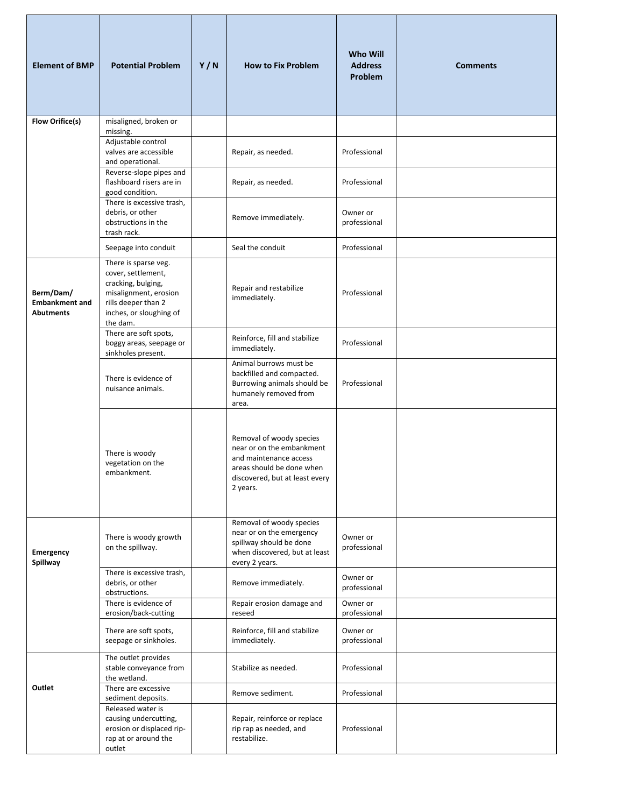| <b>Element of BMP</b>                                  | <b>Potential Problem</b>                                                                                                                                | Y/N | <b>How to Fix Problem</b>                                                                                                                                  | <b>Who Will</b><br><b>Address</b><br><b>Problem</b> | <b>Comments</b> |
|--------------------------------------------------------|---------------------------------------------------------------------------------------------------------------------------------------------------------|-----|------------------------------------------------------------------------------------------------------------------------------------------------------------|-----------------------------------------------------|-----------------|
| <b>Flow Orifice(s)</b>                                 | misaligned, broken or<br>missing.                                                                                                                       |     |                                                                                                                                                            |                                                     |                 |
|                                                        | Adjustable control<br>valves are accessible<br>and operational.                                                                                         |     | Repair, as needed.                                                                                                                                         | Professional                                        |                 |
|                                                        | Reverse-slope pipes and<br>flashboard risers are in<br>good condition.                                                                                  |     | Repair, as needed.                                                                                                                                         | Professional                                        |                 |
|                                                        | There is excessive trash,<br>debris, or other<br>obstructions in the<br>trash rack.                                                                     |     | Remove immediately.                                                                                                                                        | Owner or<br>professional                            |                 |
|                                                        | Seepage into conduit                                                                                                                                    |     | Seal the conduit                                                                                                                                           | Professional                                        |                 |
| Berm/Dam/<br><b>Embankment and</b><br><b>Abutments</b> | There is sparse veg.<br>cover, settlement,<br>cracking, bulging,<br>misalignment, erosion<br>rills deeper than 2<br>inches, or sloughing of<br>the dam. |     | Repair and restabilize<br>immediately.                                                                                                                     | Professional                                        |                 |
|                                                        | There are soft spots,<br>boggy areas, seepage or<br>sinkholes present.                                                                                  |     | Reinforce, fill and stabilize<br>immediately.                                                                                                              | Professional                                        |                 |
|                                                        | There is evidence of<br>nuisance animals.                                                                                                               |     | Animal burrows must be<br>backfilled and compacted.<br>Burrowing animals should be<br>humanely removed from<br>area.                                       | Professional                                        |                 |
|                                                        | There is woody<br>vegetation on the<br>embankment.                                                                                                      |     | Removal of woody species<br>near or on the embankment<br>and maintenance access<br>areas should be done when<br>discovered, but at least every<br>2 years. |                                                     |                 |
| Emergency<br>Spillway                                  | There is woody growth<br>on the spillway.                                                                                                               |     | Removal of woody species<br>near or on the emergency<br>spillway should be done<br>when discovered, but at least<br>every 2 years.                         | Owner or<br>professional                            |                 |
|                                                        | There is excessive trash,<br>debris, or other<br>obstructions.                                                                                          |     | Remove immediately.                                                                                                                                        | Owner or<br>professional                            |                 |
|                                                        | There is evidence of<br>erosion/back-cutting                                                                                                            |     | Repair erosion damage and<br>reseed                                                                                                                        | Owner or<br>professional                            |                 |
|                                                        | There are soft spots,<br>seepage or sinkholes.                                                                                                          |     | Reinforce, fill and stabilize<br>immediately.                                                                                                              | Owner or<br>professional                            |                 |
|                                                        | The outlet provides<br>stable conveyance from<br>the wetland.                                                                                           |     | Stabilize as needed.                                                                                                                                       | Professional                                        |                 |
| Outlet                                                 | There are excessive<br>sediment deposits.                                                                                                               |     | Remove sediment.                                                                                                                                           | Professional                                        |                 |
|                                                        | Released water is<br>causing undercutting,<br>erosion or displaced rip-<br>rap at or around the<br>outlet                                               |     | Repair, reinforce or replace<br>rip rap as needed, and<br>restabilize.                                                                                     | Professional                                        |                 |